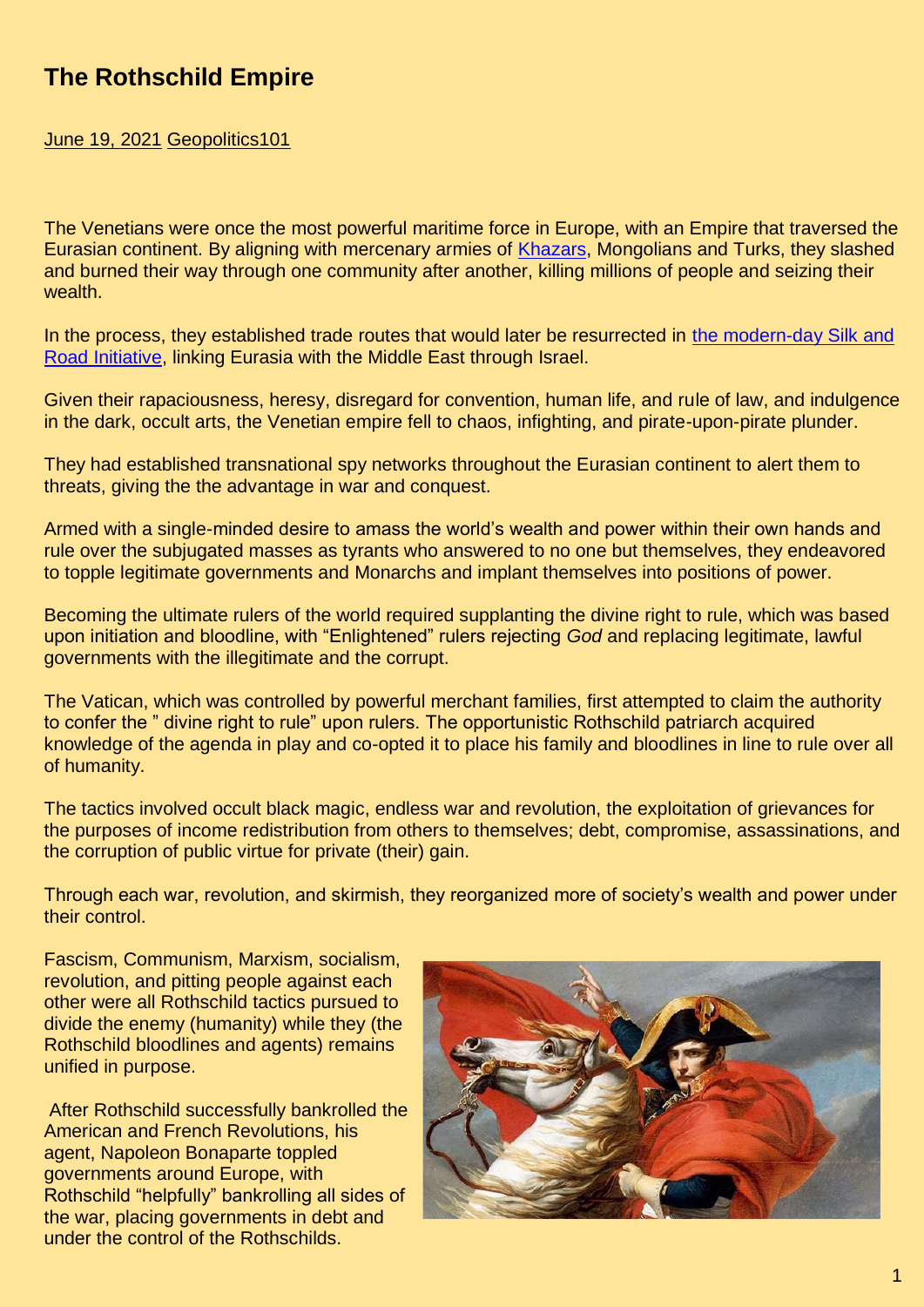#### **The Rothschild Empire**

[June 19, 2021](https://geopolitics.co/2021/06/19/rothschild-dynasty-is-seeking-to-fulfill-kalergi-depopulation-agenda/) Geopolitics 101

The Venetians were once the most powerful maritime force in Europe, with an Empire that traversed the Eurasian continent. By aligning with mercenary armies of [Khazars,](https://www.bibliotecapleyades.net/esp_sociopol_khazar.htm) Mongolians and Turks, they slashed and burned their way through one community after another, killing millions of people and seizing their wealth.

In the process, they established trade routes that would later be resurrected in [the modern-day Silk and](https://www.bibliotecapleyades.net/sociopolitica/sociopol_asia.htm#Belt_and_Road_Initiative)  [Road Initiative,](https://www.bibliotecapleyades.net/sociopolitica/sociopol_asia.htm#Belt_and_Road_Initiative) linking Eurasia with the Middle East through Israel.

Given their rapaciousness, heresy, disregard for convention, human life, and rule of law, and indulgence in the dark, occult arts, the Venetian empire fell to chaos, infighting, and pirate-upon-pirate plunder.

They had established transnational spy networks throughout the Eurasian continent to alert them to threats, giving the the advantage in war and conquest.

Armed with a single-minded desire to amass the world's wealth and power within their own hands and rule over the subjugated masses as tyrants who answered to no one but themselves, they endeavored to topple legitimate governments and Monarchs and implant themselves into positions of power.

Becoming the ultimate rulers of the world required supplanting the divine right to rule, which was based upon initiation and bloodline, with "Enlightened" rulers rejecting *God* and replacing legitimate, lawful governments with the illegitimate and the corrupt.

The Vatican, which was controlled by powerful merchant families, first attempted to claim the authority to confer the " divine right to rule" upon rulers. The opportunistic Rothschild patriarch acquired knowledge of the agenda in play and co-opted it to place his family and bloodlines in line to rule over all of humanity.

The tactics involved occult black magic, endless war and revolution, the exploitation of grievances for the purposes of income redistribution from others to themselves; debt, compromise, assassinations, and the corruption of public virtue for private (their) gain.

Through each war, revolution, and skirmish, they reorganized more of society's wealth and power under their control.

Fascism, Communism, Marxism, socialism, revolution, and pitting people against each other were all Rothschild tactics pursued to divide the enemy (humanity) while they (the Rothschild bloodlines and agents) remains unified in purpose.

After Rothschild successfully bankrolled the American and French Revolutions, his agent, Napoleon Bonaparte toppled governments around Europe, with Rothschild "helpfully" bankrolling all sides of the war, placing governments in debt and under the control of the Rothschilds.

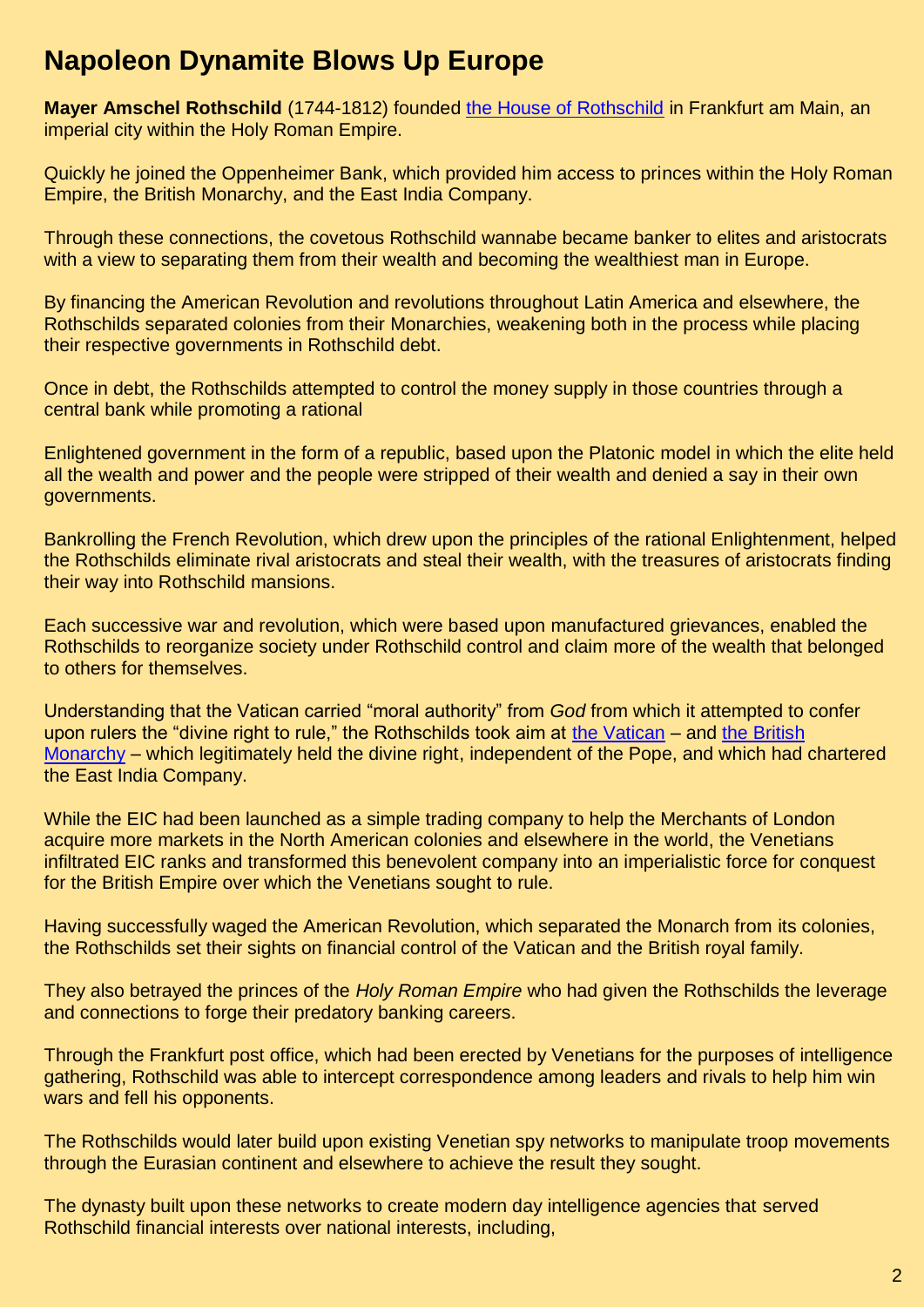## **Napoleon Dynamite Blows Up Europe**

**Mayer Amschel Rothschild** (1744-1812) founded [the House of Rothschild](https://www.bibliotecapleyades.net/esp_sociopol_rothschild.htm) in Frankfurt am Main, an imperial city within the Holy Roman Empire.

Quickly he joined the Oppenheimer Bank, which provided him access to princes within the Holy Roman Empire, the British Monarchy, and the East India Company.

Through these connections, the covetous Rothschild wannabe became banker to elites and aristocrats with a view to separating them from their wealth and becoming the wealthiest man in Europe.

By financing the American Revolution and revolutions throughout Latin America and elsewhere, the Rothschilds separated colonies from their Monarchies, weakening both in the process while placing their respective governments in Rothschild debt.

Once in debt, the Rothschilds attempted to control the money supply in those countries through a central bank while promoting a rational

Enlightened government in the form of a republic, based upon the Platonic model in which the elite held all the wealth and power and the people were stripped of their wealth and denied a say in their own governments.

Bankrolling the French Revolution, which drew upon the principles of the rational Enlightenment, helped the Rothschilds eliminate rival aristocrats and steal their wealth, with the treasures of aristocrats finding their way into Rothschild mansions.

Each successive war and revolution, which were based upon manufactured grievances, enabled the Rothschilds to reorganize society under Rothschild control and claim more of the wealth that belonged to others for themselves.

Understanding that the Vatican carried "moral authority" from *God* from which it attempted to confer upon rulers the "divine right to rule," the Rothschilds took aim at [the Vatican](https://www.bibliotecapleyades.net/esp_vatican.htm) – and the British [Monarchy](https://www.bibliotecapleyades.net/esp_sociopol_blacknobil.htm#The_House_of_Windsor) – which legitimately held the divine right, independent of the Pope, and which had chartered the East India Company.

While the EIC had been launched as a simple trading company to help the Merchants of London acquire more markets in the North American colonies and elsewhere in the world, the Venetians infiltrated EIC ranks and transformed this benevolent company into an imperialistic force for conquest for the British Empire over which the Venetians sought to rule.

Having successfully waged the American Revolution, which separated the Monarch from its colonies, the Rothschilds set their sights on financial control of the Vatican and the British royal family.

They also betrayed the princes of the *Holy Roman Empire* who had given the Rothschilds the leverage and connections to forge their predatory banking careers.

Through the Frankfurt post office, which had been erected by Venetians for the purposes of intelligence gathering, Rothschild was able to intercept correspondence among leaders and rivals to help him win wars and fell his opponents.

The Rothschilds would later build upon existing Venetian spy networks to manipulate troop movements through the Eurasian continent and elsewhere to achieve the result they sought.

The dynasty built upon these networks to create modern day intelligence agencies that served Rothschild financial interests over national interests, including,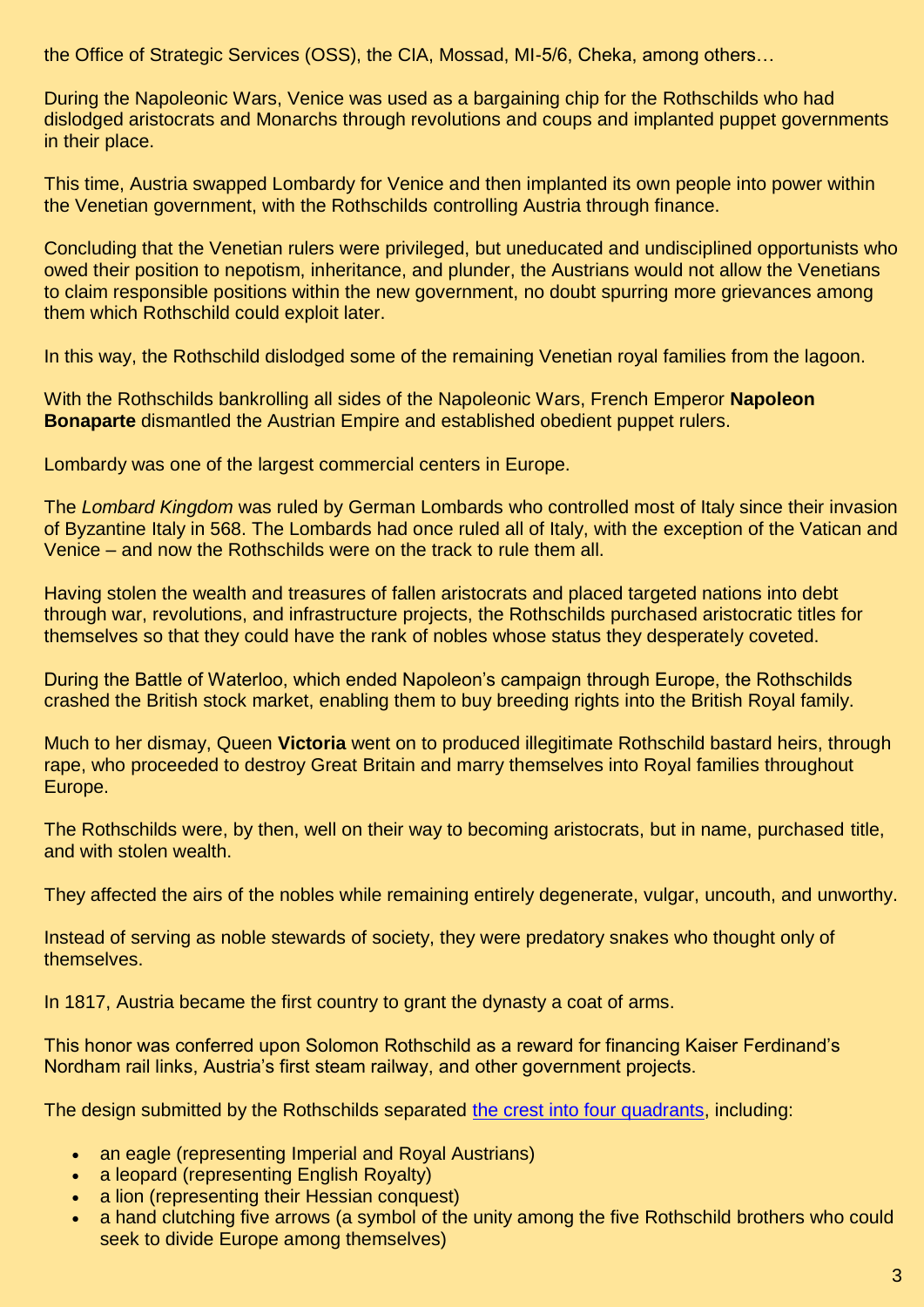the Office of Strategic Services (OSS), the CIA, Mossad, MI-5/6, Cheka, among others…

During the Napoleonic Wars, Venice was used as a bargaining chip for the Rothschilds who had dislodged aristocrats and Monarchs through revolutions and coups and implanted puppet governments in their place.

This time, Austria swapped Lombardy for Venice and then implanted its own people into power within the Venetian government, with the Rothschilds controlling Austria through finance.

Concluding that the Venetian rulers were privileged, but uneducated and undisciplined opportunists who owed their position to nepotism, inheritance, and plunder, the Austrians would not allow the Venetians to claim responsible positions within the new government, no doubt spurring more grievances among them which Rothschild could exploit later.

In this way, the Rothschild dislodged some of the remaining Venetian royal families from the lagoon.

With the Rothschilds bankrolling all sides of the Napoleonic Wars, French Emperor **Napoleon Bonaparte** dismantled the Austrian Empire and established obedient puppet rulers.

Lombardy was one of the largest commercial centers in Europe.

The *Lombard Kingdom* was ruled by German Lombards who controlled most of Italy since their invasion of Byzantine Italy in 568. The Lombards had once ruled all of Italy, with the exception of the Vatican and Venice – and now the Rothschilds were on the track to rule them all.

Having stolen the wealth and treasures of fallen aristocrats and placed targeted nations into debt through war, revolutions, and infrastructure projects, the Rothschilds purchased aristocratic titles for themselves so that they could have the rank of nobles whose status they desperately coveted.

During the Battle of Waterloo, which ended Napoleon's campaign through Europe, the Rothschilds crashed the British stock market, enabling them to buy breeding rights into the British Royal family.

Much to her dismay, Queen **Victoria** went on to produced illegitimate Rothschild bastard heirs, through rape, who proceeded to destroy Great Britain and marry themselves into Royal families throughout Europe.

The Rothschilds were, by then, well on their way to becoming aristocrats, but in name, purchased title, and with stolen wealth.

They affected the airs of the nobles while remaining entirely degenerate, vulgar, uncouth, and unworthy.

Instead of serving as noble stewards of society, they were predatory snakes who thought only of themselves.

In 1817, Austria became the first country to grant the dynasty a coat of arms.

This honor was conferred upon Solomon Rothschild as a reward for financing Kaiser Ferdinand's Nordham rail links, Austria's first steam railway, and other government projects.

The design submitted by the Rothschilds separated [the crest into four quadrants,](https://www.bibliotecapleyades.net/esp_sociopol_rothschild.htm#Red%20Shield) including:

- an eagle (representing Imperial and Royal Austrians)
- a leopard (representing English Royalty)
- a lion (representing their Hessian conquest)
- a hand clutching five arrows (a symbol of the unity among the five Rothschild brothers who could seek to divide Europe among themselves)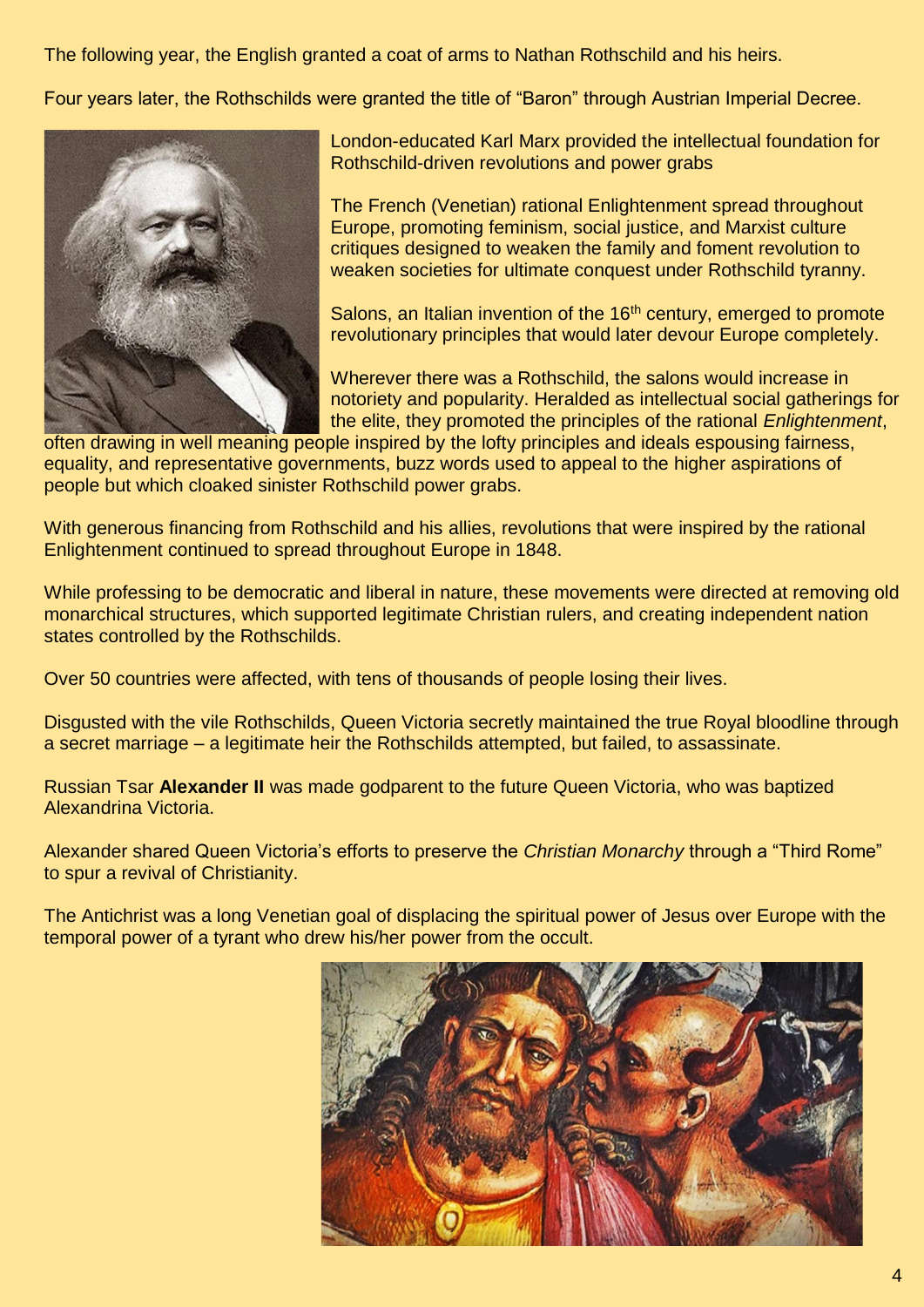The following year, the English granted a coat of arms to Nathan Rothschild and his heirs.

Four years later, the Rothschilds were granted the title of "Baron" through Austrian Imperial Decree.



London-educated Karl Marx provided the intellectual foundation for Rothschild-driven revolutions and power grabs

The French (Venetian) rational Enlightenment spread throughout Europe, promoting feminism, social justice, and Marxist culture critiques designed to weaken the family and foment revolution to weaken societies for ultimate conquest under Rothschild tyranny.

Salons, an Italian invention of the 16<sup>th</sup> century, emerged to promote revolutionary principles that would later devour Europe completely.

Wherever there was a Rothschild, the salons would increase in notoriety and popularity. Heralded as intellectual social gatherings for the elite, they promoted the principles of the rational *Enlightenment*,

often drawing in well meaning people inspired by the lofty principles and ideals espousing fairness, equality, and representative governments, buzz words used to appeal to the higher aspirations of people but which cloaked sinister Rothschild power grabs.

With generous financing from Rothschild and his allies, revolutions that were inspired by the rational Enlightenment continued to spread throughout Europe in 1848.

While professing to be democratic and liberal in nature, these movements were directed at removing old monarchical structures, which supported legitimate Christian rulers, and creating independent nation states controlled by the Rothschilds.

Over 50 countries were affected, with tens of thousands of people losing their lives.

Disgusted with the vile Rothschilds, Queen Victoria secretly maintained the true Royal bloodline through a secret marriage – a legitimate heir the Rothschilds attempted, but failed, to assassinate.

Russian Tsar **Alexander II** was made godparent to the future Queen Victoria, who was baptized Alexandrina Victoria.

Alexander shared Queen Victoria's efforts to preserve the *Christian Monarchy* through a "Third Rome" to spur a revival of Christianity.

The Antichrist was a long Venetian goal of displacing the spiritual power of Jesus over Europe with the temporal power of a tyrant who drew his/her power from the occult.

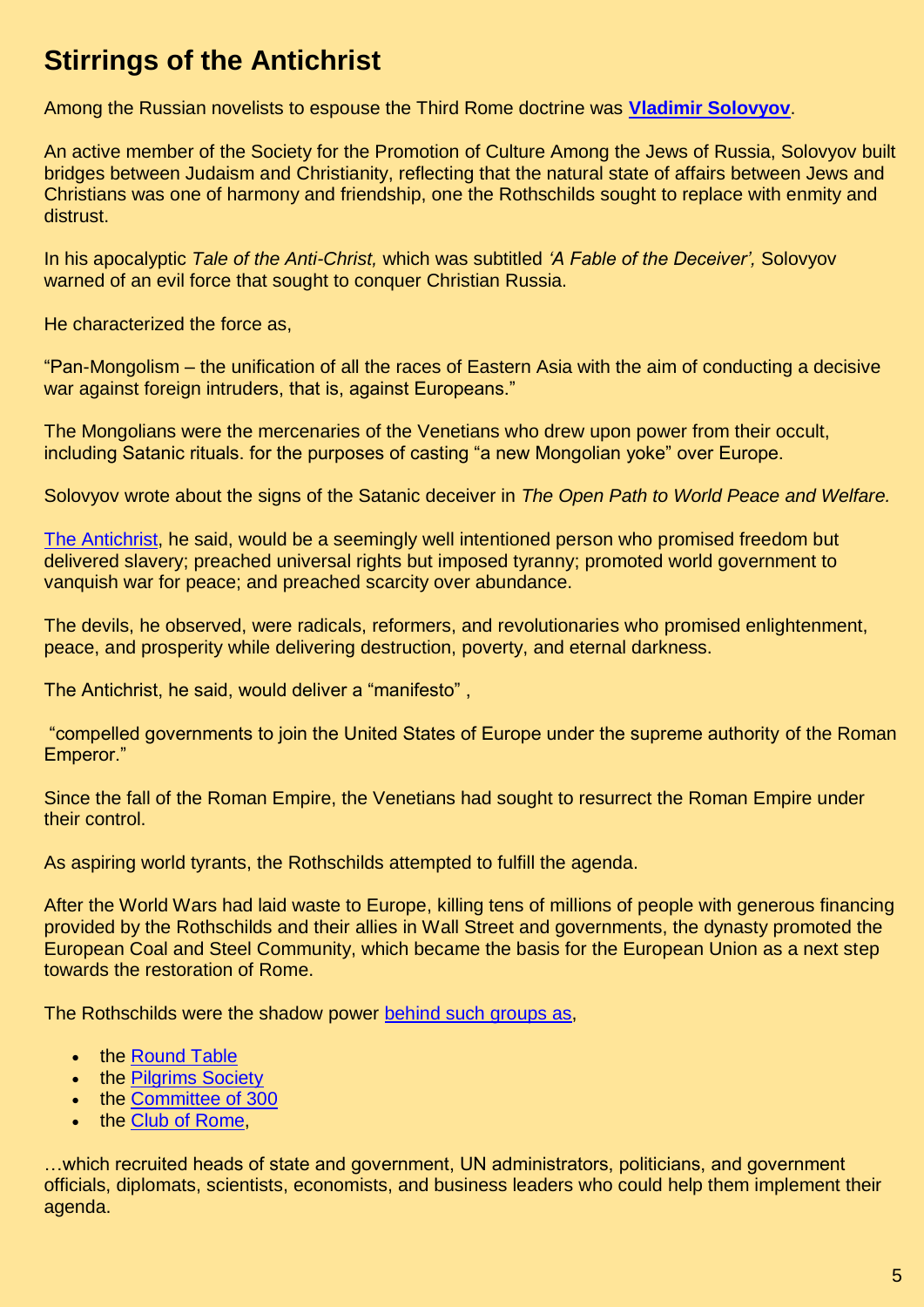## **Stirrings of the Antichrist**

Among the Russian novelists to espouse the Third Rome doctrine was **[Vladimir Solovyov](https://en.wikipedia.org/wiki/Vladimir_Solovyov_(philosopher))**.

An active member of the Society for the Promotion of Culture Among the Jews of Russia, Solovyov built bridges between Judaism and Christianity, reflecting that the natural state of affairs between Jews and Christians was one of harmony and friendship, one the Rothschilds sought to replace with enmity and distrust.

In his apocalyptic *Tale of the Anti-Christ,* which was subtitled *'A Fable of the Deceiver',* Solovyov warned of an evil force that sought to conquer Christian Russia.

He characterized the force as,

"Pan-Mongolism – the unification of all the races of Eastern Asia with the aim of conducting a decisive war against foreign intruders, that is, against Europeans."

The Mongolians were the mercenaries of the Venetians who drew upon power from their occult, including Satanic rituals. for the purposes of casting "a new Mongolian yoke" over Europe.

Solovyov wrote about the signs of the Satanic deceiver in *The Open Path to World Peace and Welfare.*

[The Antichrist,](https://www.bibliotecapleyades.net/biblianazar/antichrist.htm) he said, would be a seemingly well intentioned person who promised freedom but delivered slavery; preached universal rights but imposed tyranny; promoted world government to vanquish war for peace; and preached scarcity over abundance.

The devils, he observed, were radicals, reformers, and revolutionaries who promised enlightenment, peace, and prosperity while delivering destruction, poverty, and eternal darkness.

The Antichrist, he said, would deliver a "manifesto" ,

"compelled governments to join the United States of Europe under the supreme authority of the Roman Emperor."

Since the fall of the Roman Empire, the Venetians had sought to resurrect the Roman Empire under their control.

As aspiring world tyrants, the Rothschilds attempted to fulfill the agenda.

After the World Wars had laid waste to Europe, killing tens of millions of people with generous financing provided by the Rothschilds and their allies in Wall Street and governments, the dynasty promoted the European Coal and Steel Community, which became the basis for the European Union as a next step towards the restoration of Rome.

The Rothschilds were the shadow power [behind such groups as,](https://www.bibliotecapleyades.net/esp_sociopol_brotherhoodsecretsocieties.htm)

- the [Round Table](https://www.bibliotecapleyades.net/esp_sociopol_roundtable.htm)
- the [Pilgrims Society](https://www.bibliotecapleyades.net/esp_sociopol_pilgrims.htm)
- the [Committee of 300](https://www.bibliotecapleyades.net/esp_sociopol_committee300.htm)
- the [Club of Rome,](https://www.bibliotecapleyades.net/esp_sociopol_clubrome.htm)

…which recruited heads of state and government, UN administrators, politicians, and government officials, diplomats, scientists, economists, and business leaders who could help them implement their agenda.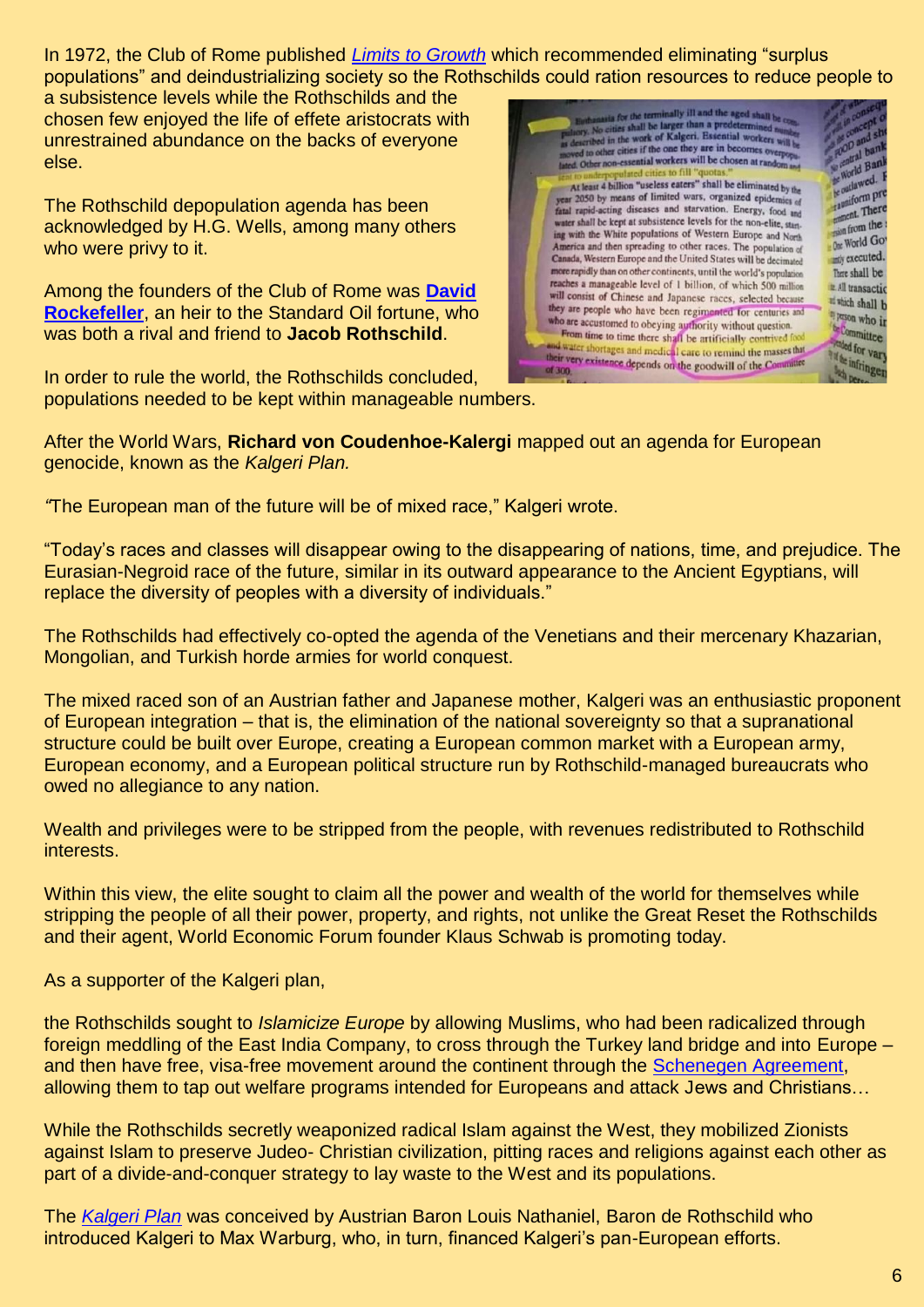In 1972, the Club of Rome published *[Limits to Growth](https://www.bibliotecapleyades.net/archivos_pdf/limits-growth-report.pdf)* which recommended eliminating "surplus populations" and deindustrializing society so the Rothschilds could ration resources to reduce people to

a subsistence levels while the Rothschilds and the chosen few enjoyed the life of effete aristocrats with unrestrained abundance on the backs of everyone else.

The Rothschild depopulation agenda has been acknowledged by H.G. Wells, among many others who were privy to it.

Among the founders of the Club of Rome was **[David](https://www.bibliotecapleyades.net/esp_sociopol_rockefeller.htm)  [Rockefeller](https://www.bibliotecapleyades.net/esp_sociopol_rockefeller.htm)**, an heir to the Standard Oil fortune, who was both a rival and friend to **Jacob Rothschild**.

In order to rule the world, the Rothschilds concluded, populations needed to be kept within manageable numbers.



After the World Wars, **Richard von Coudenhoe-Kalergi** mapped out an agenda for European genocide, known as the *Kalgeri Plan.*

*"*The European man of the future will be of mixed race," Kalgeri wrote.

"Today's races and classes will disappear owing to the disappearing of nations, time, and prejudice. The Eurasian-Negroid race of the future, similar in its outward appearance to the Ancient Egyptians, will replace the diversity of peoples with a diversity of individuals."

The Rothschilds had effectively co-opted the agenda of the Venetians and their mercenary Khazarian, Mongolian, and Turkish horde armies for world conquest.

The mixed raced son of an Austrian father and Japanese mother, Kalgeri was an enthusiastic proponent of European integration – that is, the elimination of the national sovereignty so that a supranational structure could be built over Europe, creating a European common market with a European army, European economy, and a European political structure run by Rothschild-managed bureaucrats who owed no allegiance to any nation.

Wealth and privileges were to be stripped from the people, with revenues redistributed to Rothschild interests.

Within this view, the elite sought to claim all the power and wealth of the world for themselves while stripping the people of all their power, property, and rights, not unlike the Great Reset the Rothschilds and their agent, World Economic Forum founder Klaus Schwab is promoting today.

As a supporter of the Kalgeri plan,

the Rothschilds sought to *Islamicize Europe* by allowing Muslims, who had been radicalized through foreign meddling of the East India Company, to cross through the Turkey land bridge and into Europe – and then have free, visa-free movement around the continent through the [Schenegen Agreement,](https://en.wikipedia.org/wiki/Schengen_Agreement) allowing them to tap out welfare programs intended for Europeans and attack Jews and Christians…

While the Rothschilds secretly weaponized radical Islam against the West, they mobilized Zionists against Islam to preserve Judeo- Christian civilization, pitting races and religions against each other as part of a divide-and-conquer strategy to lay waste to the West and its populations.

The *[Kalgeri Plan](https://www.rmmla.org/assets/docs/Journal-Archives/2000-2009/59-2-2005avillanuevad.pdf)* was conceived by Austrian Baron Louis Nathaniel, Baron de Rothschild who introduced Kalgeri to Max Warburg, who, in turn, financed Kalgeri's pan-European efforts.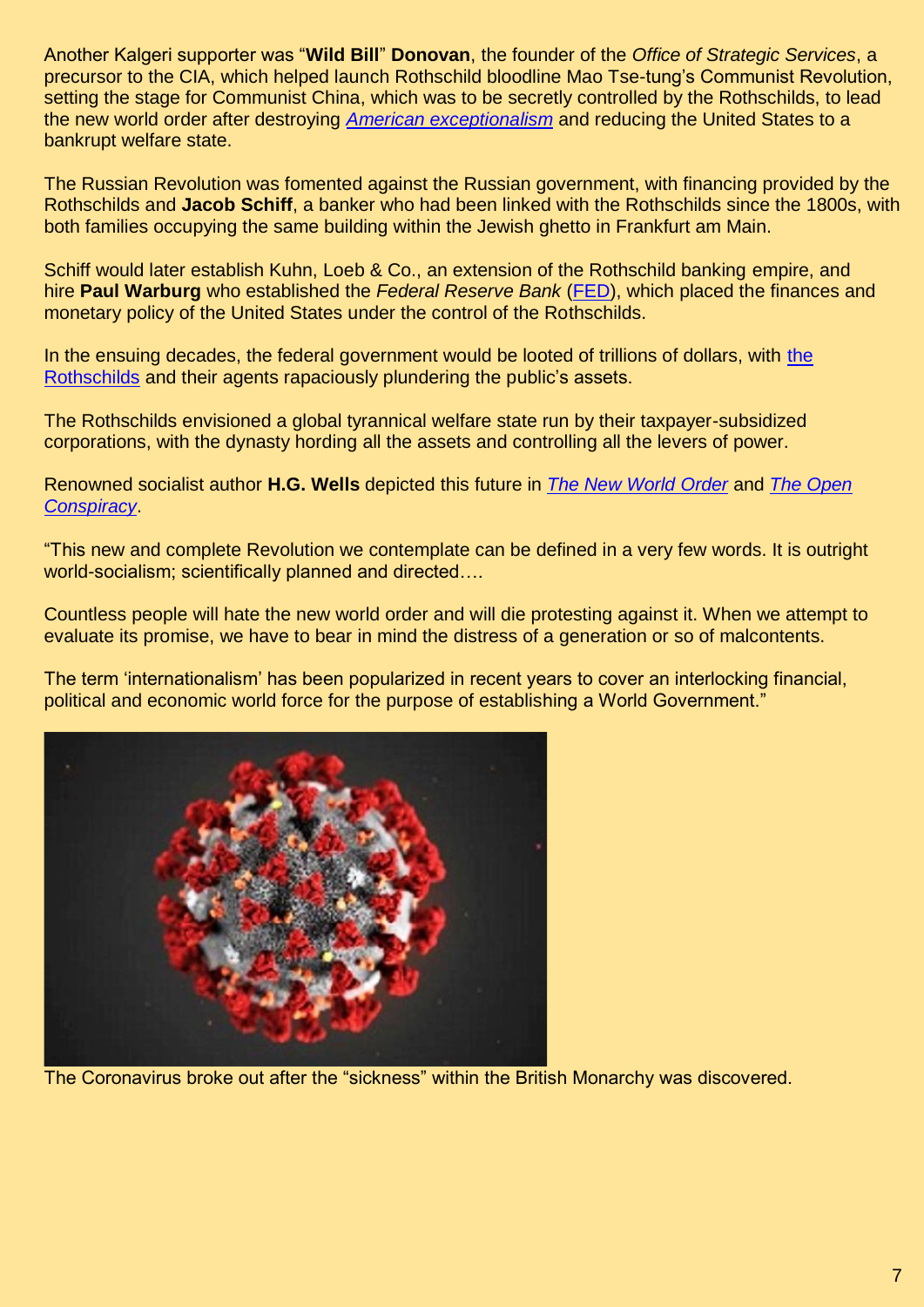Another Kalgeri supporter was "**Wild Bill**" **Donovan**, the founder of the *Office of Strategic Services*, a precursor to the CIA, which helped launch Rothschild bloodline Mao Tse-tung's Communist Revolution, setting the stage for Communist China, which was to be secretly controlled by the Rothschilds, to lead the new world order after destroying *[American exceptionalism](https://www.bibliotecapleyades.net/sociopolitica/sociopol_americanempire71.htm)* and reducing the United States to a bankrupt welfare state.

The Russian Revolution was fomented against the Russian government, with financing provided by the Rothschilds and **Jacob Schiff**, a banker who had been linked with the Rothschilds since the 1800s, with both families occupying the same building within the Jewish ghetto in Frankfurt am Main.

Schiff would later establish Kuhn, Loeb & Co., an extension of the Rothschild banking empire, and hire **Paul Warburg** who established the *Federal Reserve Bank* [\(FED\)](https://www.bibliotecapleyades.net/esp_sociopol_fed.htm), which placed the finances and monetary policy of the United States under the control of the Rothschilds.

In the ensuing decades, the federal government would be looted of trillions of dollars, with [the](https://www.bibliotecapleyades.net/esp_sociopol_rothschild.htm)  [Rothschilds](https://www.bibliotecapleyades.net/esp_sociopol_rothschild.htm) and their agents rapaciously plundering the public's assets.

The Rothschilds envisioned a global tyrannical welfare state run by their taxpayer-subsidized corporations, with the dynasty hording all the assets and controlling all the levers of power.

Renowned socialist author **H.G. Wells** depicted this future in *[The New World Order](https://www.bibliotecapleyades.net/archivos_pdf/newworldorder_wells.pdf)* and *[The Open](https://www.bibliotecapleyades.net/archivos_pdf/open_conspiracy.pdf)  [Conspiracy](https://www.bibliotecapleyades.net/archivos_pdf/open_conspiracy.pdf)*.

"This new and complete Revolution we contemplate can be defined in a very few words. It is outright world-socialism; scientifically planned and directed….

Countless people will hate the new world order and will die protesting against it. When we attempt to evaluate its promise, we have to bear in mind the distress of a generation or so of malcontents.

The term 'internationalism' has been popularized in recent years to cover an interlocking financial, political and economic world force for the purpose of establishing a World Government."



The Coronavirus broke out after the "sickness" within the British Monarchy was discovered.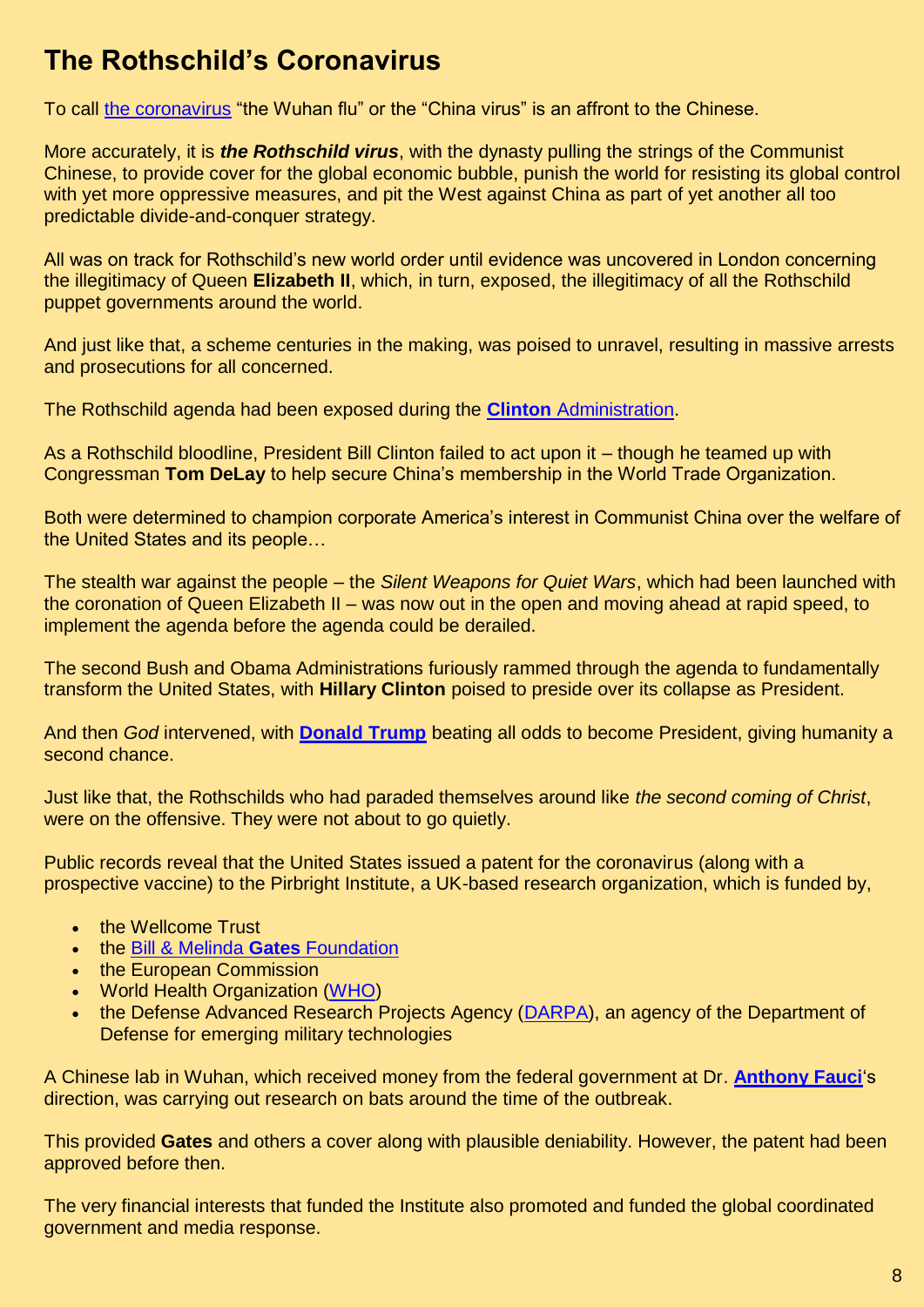## **The Rothschild's Coronavirus**

To call [the coronavirus](https://www.bibliotecapleyades.net/ciencia3/ciencia_coronavirus.htm) "the Wuhan flu" or the "China virus" is an affront to the Chinese.

More accurately, it is *the Rothschild virus*, with the dynasty pulling the strings of the Communist Chinese, to provide cover for the global economic bubble, punish the world for resisting its global control with yet more oppressive measures, and pit the West against China as part of yet another all too predictable divide-and-conquer strategy.

All was on track for Rothschild's new world order until evidence was uncovered in London concerning the illegitimacy of Queen **Elizabeth II**, which, in turn, exposed, the illegitimacy of all the Rothschild puppet governments around the world.

And just like that, a scheme centuries in the making, was poised to unravel, resulting in massive arrests and prosecutions for all concerned.

The Rothschild agenda had been exposed during the **Clinton** [Administration.](https://www.bibliotecapleyades.net/sociopolitica/sociopol_clinton.htm)

As a Rothschild bloodline, President Bill Clinton failed to act upon it – though he teamed up with Congressman **Tom DeLay** to help secure China's membership in the World Trade Organization.

Both were determined to champion corporate America's interest in Communist China over the welfare of the United States and its people…

The stealth war against the people – the *Silent Weapons for Quiet Wars*, which had been launched with the coronation of Queen Elizabeth II – was now out in the open and moving ahead at rapid speed, to implement the agenda before the agenda could be derailed.

The second Bush and Obama Administrations furiously rammed through the agenda to fundamentally transform the United States, with **Hillary Clinton** poised to preside over its collapse as President.

And then *God* intervened, with **[Donald Trump](https://www.bibliotecapleyades.net/sociopolitica/sociopol_trump.htm)** beating all odds to become President, giving humanity a second chance.

Just like that, the Rothschilds who had paraded themselves around like *the second coming of Christ*, were on the offensive. They were not about to go quietly.

Public records reveal that the United States issued a patent for the coronavirus (along with a prospective vaccine) to the Pirbright Institute, a UK-based research organization, which is funded by,

- the Wellcome Trust
- the [Bill & Melinda](https://www.bibliotecapleyades.net/sociopolitica/sociopol_win-micro-gates.htm) **Gates** Foundation
- the European Commission
- World Health Organization [\(WHO\)](https://www.bibliotecapleyades.net/ciencia3/ciencia_who-oms.htm)
- the Defense Advanced Research Projects Agency [\(DARPA\)](https://www.bibliotecapleyades.net/sociopolitica/sociopol_DARPA.htm), an agency of the Department of Defense for emerging military technologies

A Chinese lab in Wuhan, which received money from the federal government at Dr. **[Anthony Fauci](https://www.bibliotecapleyades.net/ciencia3/ciencia_coronavirus.htm#Coronavirus_and_Anthony_Fauci)**'s direction, was carrying out research on bats around the time of the outbreak.

This provided **Gates** and others a cover along with plausible deniability. However, the patent had been approved before then.

The very financial interests that funded the Institute also promoted and funded the global coordinated government and media response.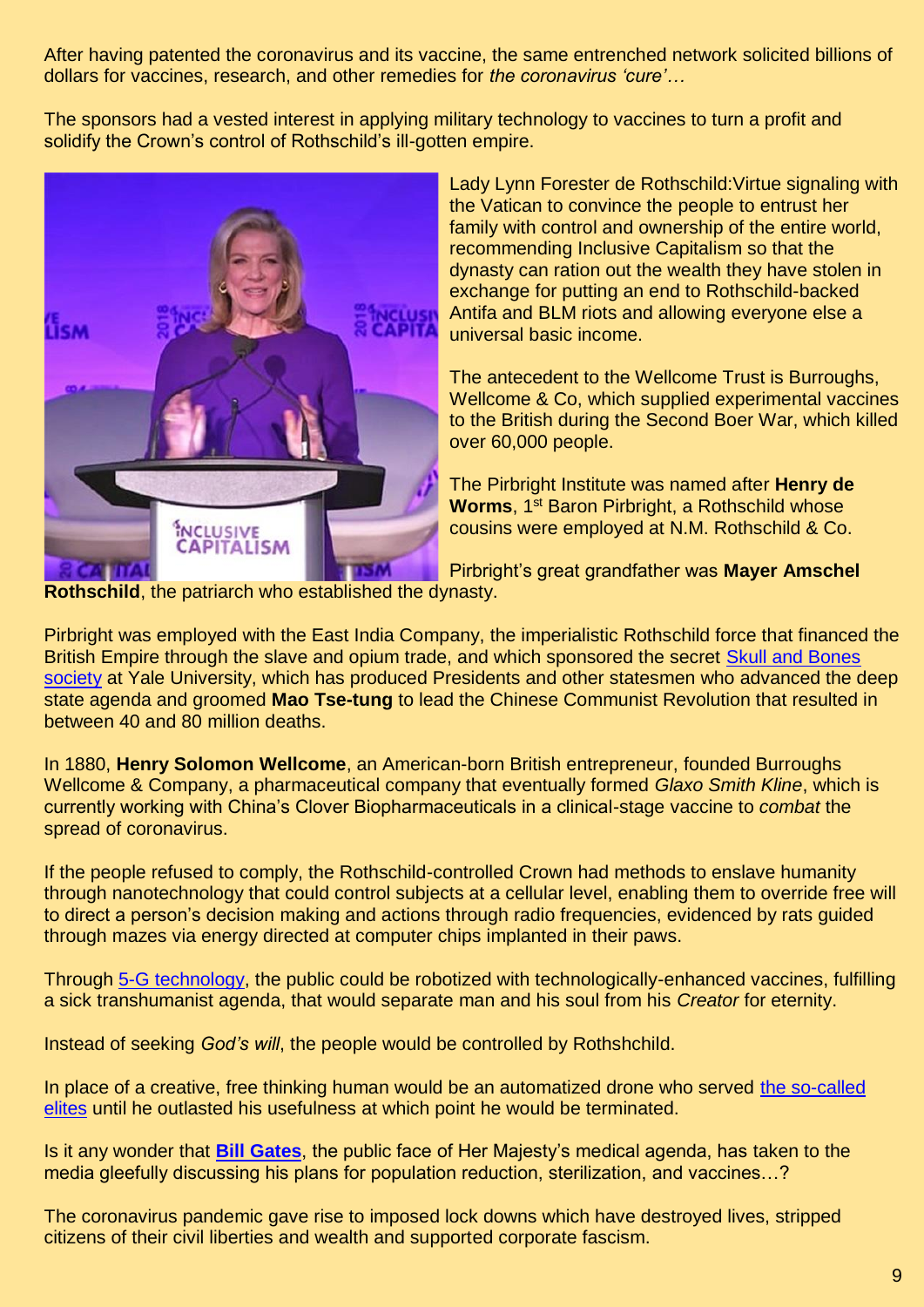After having patented the coronavirus and its vaccine, the same entrenched network solicited billions of dollars for vaccines, research, and other remedies for *the coronavirus 'cure'…*

The sponsors had a vested interest in applying military technology to vaccines to turn a profit and solidify the Crown's control of Rothschild's ill-gotten empire.



Lady Lynn Forester de Rothschild:Virtue signaling with the Vatican to convince the people to entrust her family with control and ownership of the entire world, recommending Inclusive Capitalism so that the dynasty can ration out the wealth they have stolen in exchange for putting an end to Rothschild-backed Antifa and BLM riots and allowing everyone else a universal basic income.

The antecedent to the Wellcome Trust is Burroughs, Wellcome & Co, which supplied experimental vaccines to the British during the Second Boer War, which killed over 60,000 people.

The Pirbright Institute was named after **Henry de Worms**, 1<sup>st</sup> Baron Pirbright, a Rothschild whose cousins were employed at N.M. Rothschild & Co.

Pirbright's great grandfather was **Mayer Amschel Rothschild**, the patriarch who established the dynasty.

Pirbright was employed with the East India Company, the imperialistic Rothschild force that financed the British Empire through the slave and opium trade, and which sponsored the secret [Skull and Bones](https://www.bibliotecapleyades.net/esp_sociopol_skullbones.htm)  [society](https://www.bibliotecapleyades.net/esp_sociopol_skullbones.htm) at Yale University, which has produced Presidents and other statesmen who advanced the deep state agenda and groomed **Mao Tse-tung** to lead the Chinese Communist Revolution that resulted in between 40 and 80 million deaths.

In 1880, **Henry Solomon Wellcome**, an American-born British entrepreneur, founded Burroughs Wellcome & Company, a pharmaceutical company that eventually formed *Glaxo Smith Kline*, which is currently working with China's Clover Biopharmaceuticals in a clinical-stage vaccine to *combat* the spread of coronavirus.

If the people refused to comply, the Rothschild-controlled Crown had methods to enslave humanity through nanotechnology that could control subjects at a cellular level, enabling them to override free will to direct a person's decision making and actions through radio frequencies, evidenced by rats guided through mazes via energy directed at computer chips implanted in their paws.

Through [5-G technology,](https://www.bibliotecapleyades.net/scalar_tech/esp_scalartech_cellphonesmicrowave.htm#5G) the public could be robotized with technologically-enhanced vaccines, fulfilling a sick transhumanist agenda, that would separate man and his soul from his *Creator* for eternity.

Instead of seeking *God's will*, the people would be controlled by Rothshchild.

In place of a creative, free thinking human would be an automatized drone who served [the so-called](https://www.bibliotecapleyades.net/sociopolitica/sociopol_globalelite.htm)  [elites](https://www.bibliotecapleyades.net/sociopolitica/sociopol_globalelite.htm) until he outlasted his usefulness at which point he would be terminated.

Is it any wonder that **[Bill Gates](https://www.bibliotecapleyades.net/sociopolitica/sociopol_win-micro-gates.htm)**, the public face of Her Majesty's medical agenda, has taken to the media gleefully discussing his plans for population reduction, sterilization, and vaccines…?

The coronavirus pandemic gave rise to imposed lock downs which have destroyed lives, stripped citizens of their civil liberties and wealth and supported corporate fascism.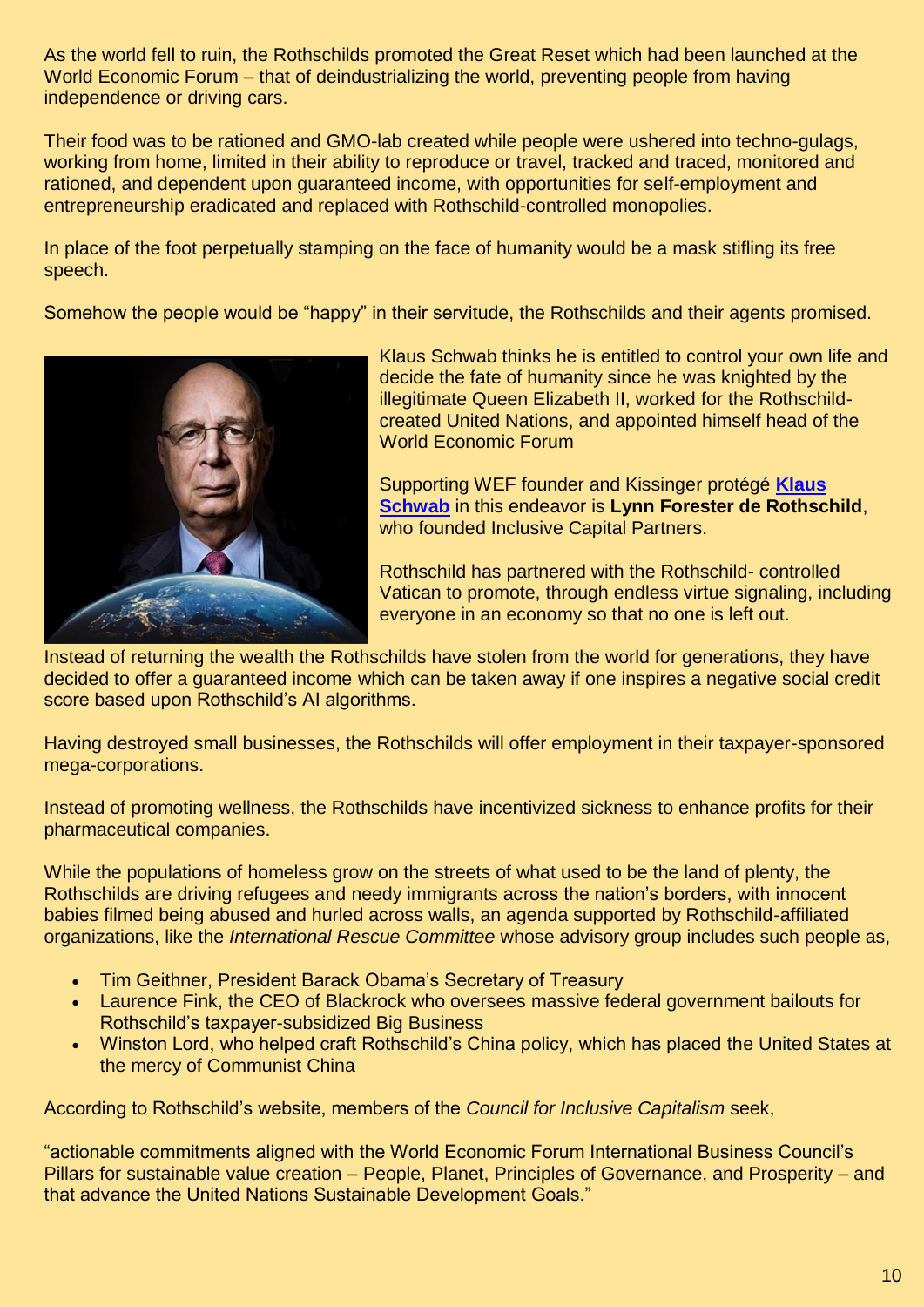As the world fell to ruin, the Rothschilds promoted the Great Reset which had been launched at the World Economic Forum – that of deindustrializing the world, preventing people from having independence or driving cars.

Their food was to be rationed and GMO-lab created while people were ushered into techno-gulags, working from home, limited in their ability to reproduce or travel, tracked and traced, monitored and rationed, and dependent upon guaranteed income, with opportunities for self-employment and entrepreneurship eradicated and replaced with Rothschild-controlled monopolies.

In place of the foot perpetually stamping on the face of humanity would be a mask stifling its free speech.

Somehow the people would be "happy" in their servitude, the Rothschilds and their agents promised.



Klaus Schwab thinks he is entitled to control your own life and decide the fate of humanity since he was knighted by the illegitimate Queen Elizabeth II, worked for the Rothschildcreated United Nations, and appointed himself head of the World Economic Forum

Supporting WEF founder and Kissinger protégé **[Klaus](https://www.bibliotecapleyades.net/sociopolitica2/sociopol_greatreset.htm#Klaus_Schwab)  [Schwab](https://www.bibliotecapleyades.net/sociopolitica2/sociopol_greatreset.htm#Klaus_Schwab)** in this endeavor is **Lynn Forester de Rothschild**, who founded Inclusive Capital Partners.

Rothschild has partnered with the Rothschild- controlled Vatican to promote, through endless virtue signaling, including everyone in an economy so that no one is left out.

Instead of returning the wealth the Rothschilds have stolen from the world for generations, they have decided to offer a guaranteed income which can be taken away if one inspires a negative social credit score based upon Rothschild's AI algorithms.

Having destroyed small businesses, the Rothschilds will offer employment in their taxpayer-sponsored mega-corporations.

Instead of promoting wellness, the Rothschilds have incentivized sickness to enhance profits for their pharmaceutical companies.

While the populations of homeless grow on the streets of what used to be the land of plenty, the Rothschilds are driving refugees and needy immigrants across the nation's borders, with innocent babies filmed being abused and hurled across walls, an agenda supported by Rothschild-affiliated organizations, like the *International Rescue Committee* whose advisory group includes such people as,

- Tim Geithner, President Barack Obama's Secretary of Treasury
- Laurence Fink, the CEO of Blackrock who oversees massive federal government bailouts for Rothschild's taxpayer-subsidized Big Business
- Winston Lord, who helped craft Rothschild's China policy, which has placed the United States at the mercy of Communist China

According to Rothschild's website, members of the *Council for Inclusive Capitalism* seek,

"actionable commitments aligned with the World Economic Forum International Business Council's Pillars for sustainable value creation – People, Planet, Principles of Governance, and Prosperity – and that advance the United Nations Sustainable Development Goals."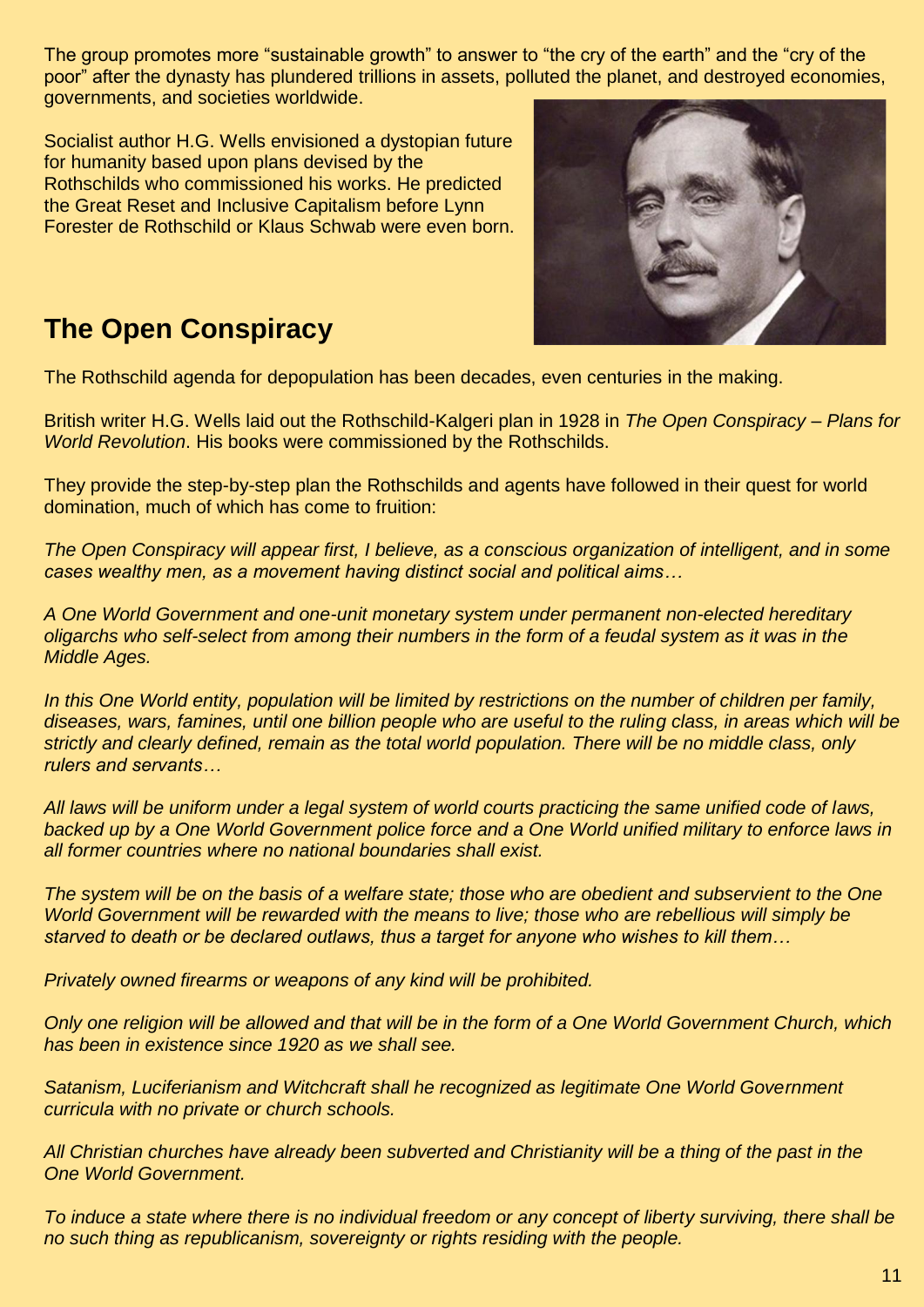The group promotes more "sustainable growth" to answer to "the cry of the earth" and the "cry of the poor" after the dynasty has plundered trillions in assets, polluted the planet, and destroyed economies, governments, and societies worldwide.

Socialist author H.G. Wells envisioned a dystopian future for humanity based upon plans devised by the Rothschilds who commissioned his works. He predicted the Great Reset and Inclusive Capitalism before Lynn Forester de Rothschild or Klaus Schwab were even born.



# **The Open Conspiracy**

The Rothschild agenda for depopulation has been decades, even centuries in the making.

British writer H.G. Wells laid out the Rothschild-Kalgeri plan in 1928 in *The Open Conspiracy – Plans for World Revolution*. His books were commissioned by the Rothschilds.

They provide the step-by-step plan the Rothschilds and agents have followed in their quest for world domination, much of which has come to fruition:

*The Open Conspiracy will appear first, I believe, as a conscious organization of intelligent, and in some cases wealthy men, as a movement having distinct social and political aims…*

*A One World Government and one-unit monetary system under permanent non-elected hereditary oligarchs who self-select from among their numbers in the form of a feudal system as it was in the Middle Ages.*

*In this One World entity, population will be limited by restrictions on the number of children per family, diseases, wars, famines, until one billion people who are useful to the ruling class, in areas which will be strictly and clearly defined, remain as the total world population. There will be no middle class, only rulers and servants…*

*All laws will be uniform under a legal system of world courts practicing the same unified code of laws, backed up by a One World Government police force and a One World unified military to enforce laws in all former countries where no national boundaries shall exist.*

*The system will be on the basis of a welfare state; those who are obedient and subservient to the One World Government will be rewarded with the means to live; those who are rebellious will simply be starved to death or be declared outlaws, thus a target for anyone who wishes to kill them…*

*Privately owned firearms or weapons of any kind will be prohibited.*

*Only one religion will be allowed and that will be in the form of a One World Government Church, which has been in existence since 1920 as we shall see.*

*Satanism, Luciferianism and Witchcraft shall he recognized as legitimate One World Government curricula with no private or church schools.*

*All Christian churches have already been subverted and Christianity will be a thing of the past in the One World Government.*

*To induce a state where there is no individual freedom or any concept of liberty surviving, there shall be no such thing as republicanism, sovereignty or rights residing with the people.*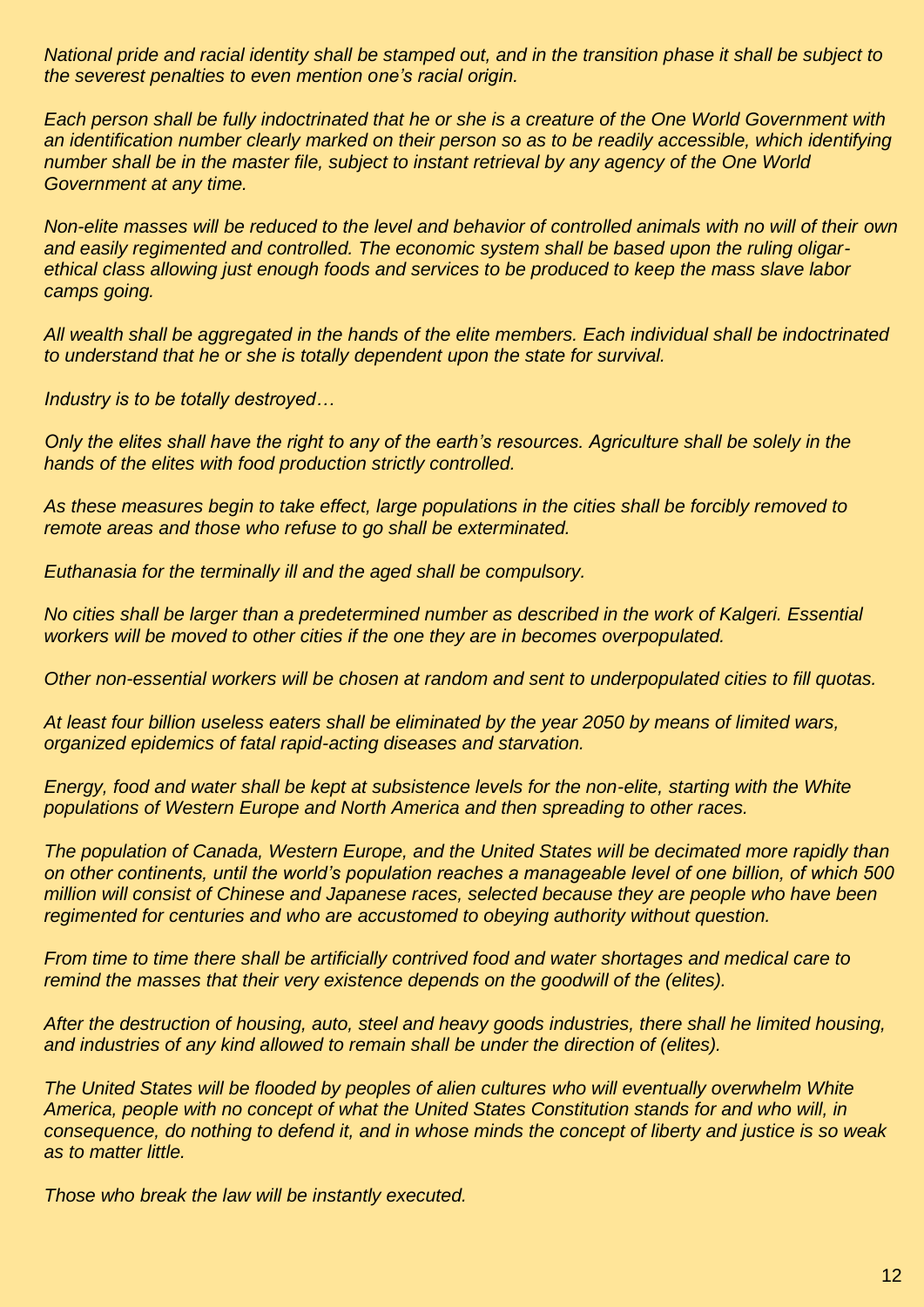*National pride and racial identity shall be stamped out, and in the transition phase it shall be subject to the severest penalties to even mention one's racial origin.*

*Each person shall be fully indoctrinated that he or she is a creature of the One World Government with*  an identification number clearly marked on their person so as to be readily accessible, which identifying *number shall be in the master file, subject to instant retrieval by any agency of the One World Government at any time.*

*Non-elite masses will be reduced to the level and behavior of controlled animals with no will of their own and easily regimented and controlled. The economic system shall be based upon the ruling oligarethical class allowing just enough foods and services to be produced to keep the mass slave labor camps going.*

*All wealth shall be aggregated in the hands of the elite members. Each individual shall be indoctrinated to understand that he or she is totally dependent upon the state for survival.*

*Industry is to be totally destroyed…*

*Only the elites shall have the right to any of the earth's resources. Agriculture shall be solely in the hands of the elites with food production strictly controlled.*

*As these measures begin to take effect, large populations in the cities shall be forcibly removed to remote areas and those who refuse to go shall be exterminated.*

*Euthanasia for the terminally ill and the aged shall be compulsory.*

*No cities shall be larger than a predetermined number as described in the work of Kalgeri. Essential workers will be moved to other cities if the one they are in becomes overpopulated.*

*Other non-essential workers will be chosen at random and sent to underpopulated cities to fill quotas.*

*At least four billion useless eaters shall be eliminated by the year 2050 by means of limited wars, organized epidemics of fatal rapid-acting diseases and starvation.*

*Energy, food and water shall be kept at subsistence levels for the non-elite, starting with the White populations of Western Europe and North America and then spreading to other races.*

*The population of Canada, Western Europe, and the United States will be decimated more rapidly than on other continents, until the world's population reaches a manageable level of one billion, of which 500 million will consist of Chinese and Japanese races, selected because they are people who have been regimented for centuries and who are accustomed to obeying authority without question.*

*From time to time there shall be artificially contrived food and water shortages and medical care to remind the masses that their very existence depends on the goodwill of the (elites).*

*After the destruction of housing, auto, steel and heavy goods industries, there shall he limited housing, and industries of any kind allowed to remain shall be under the direction of (elites).*

*The United States will be flooded by peoples of alien cultures who will eventually overwhelm White America, people with no concept of what the United States Constitution stands for and who will, in consequence, do nothing to defend it, and in whose minds the concept of liberty and justice is so weak as to matter little.*

*Those who break the law will be instantly executed.*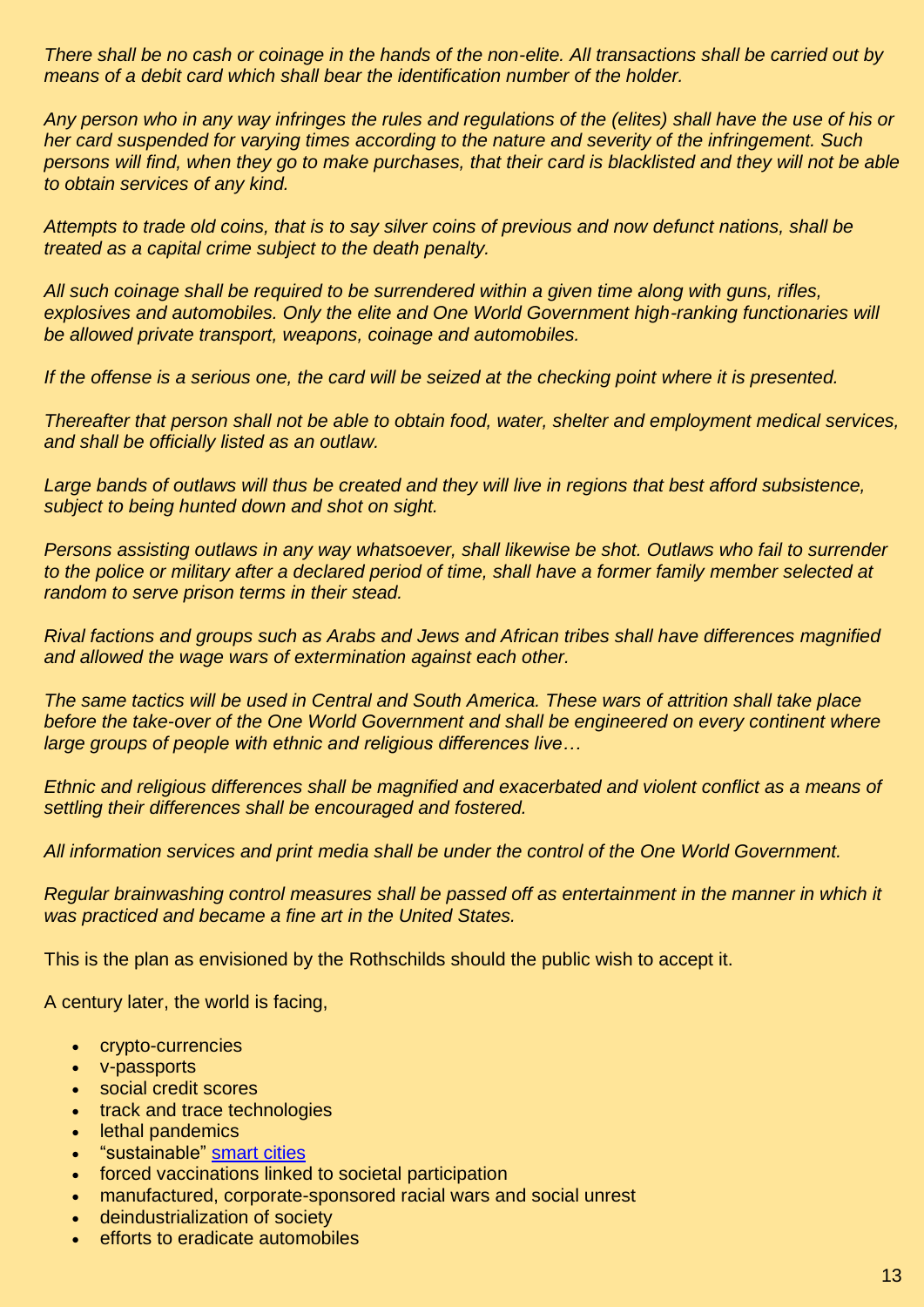*There shall be no cash or coinage in the hands of the non-elite. All transactions shall be carried out by means of a debit card which shall bear the identification number of the holder.*

*Any person who in any way infringes the rules and regulations of the (elites) shall have the use of his or her card suspended for varying times according to the nature and severity of the infringement. Such persons will find, when they go to make purchases, that their card is blacklisted and they will not be able to obtain services of any kind.*

*Attempts to trade old coins, that is to say silver coins of previous and now defunct nations, shall be treated as a capital crime subject to the death penalty.*

*All such coinage shall be required to be surrendered within a given time along with guns, rifles, explosives and automobiles. Only the elite and One World Government high-ranking functionaries will be allowed private transport, weapons, coinage and automobiles.*

*If the offense is a serious one, the card will be seized at the checking point where it is presented.*

*Thereafter that person shall not be able to obtain food, water, shelter and employment medical services, and shall be officially listed as an outlaw.*

*Large bands of outlaws will thus be created and they will live in regions that best afford subsistence, subject to being hunted down and shot on sight.*

*Persons assisting outlaws in any way whatsoever, shall likewise be shot. Outlaws who fail to surrender to the police or military after a declared period of time, shall have a former family member selected at random to serve prison terms in their stead.*

*Rival factions and groups such as Arabs and Jews and African tribes shall have differences magnified and allowed the wage wars of extermination against each other.*

*The same tactics will be used in Central and South America. These wars of attrition shall take place*  before the take-over of the One World Government and shall be engineered on every continent where *large groups of people with ethnic and religious differences live…*

*Ethnic and religious differences shall be magnified and exacerbated and violent conflict as a means of settling their differences shall be encouraged and fostered.*

*All information services and print media shall be under the control of the One World Government.*

*Regular brainwashing control measures shall be passed off as entertainment in the manner in which it was practiced and became a fine art in the United States.*

This is the plan as envisioned by the Rothschilds should the public wish to accept it.

A century later, the world is facing,

- crypto-currencies
- v-passports
- social credit scores
- track and trace technologies
- lethal pandemics
- "sustainable" [smart cities](https://www.bibliotecapleyades.net/sociopolitica2/sociopol_technocracy.htm#Smart_Cities_)
- forced vaccinations linked to societal participation
- manufactured, corporate-sponsored racial wars and social unrest
- deindustrialization of society
- efforts to eradicate automobiles